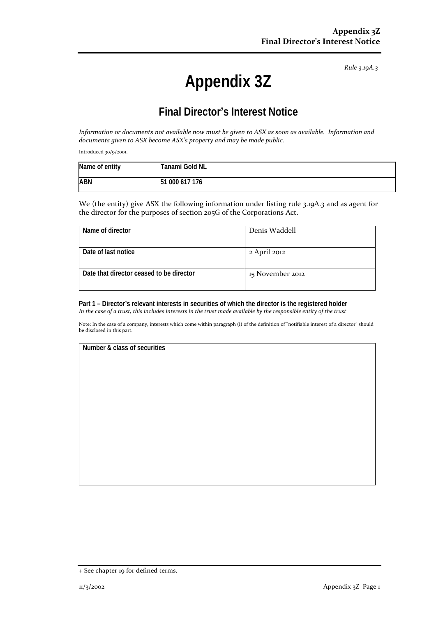*Rule 3.19A.3*

# **Appendix 3Z**

# **Final Director's Interest Notice**

*Information or documents not available now must be given to ASX as soon as available. Information and documents given to ASX become ASX's property and may be made public.*

Introduced 30/9/2001.

| Name of entity | Tanami Gold NL |
|----------------|----------------|
| <b>ABN</b>     | 51 000 617 176 |

We (the entity) give ASX the following information under listing rule 3.19A.3 and as agent for the director for the purposes of section 205G of the Corporations Act.

| Name of director                         | Denis Waddell    |
|------------------------------------------|------------------|
| Date of last notice                      | 2 April 2012     |
|                                          |                  |
| Date that director ceased to be director | 15 November 2012 |
|                                          |                  |

**Part 1 – Director's relevant interests in securities of which the director is the registered holder** *In the case of a trust, this includes interests in the trust made available by the responsible entity of the trust*

Note: In the case of a company, interests which come within paragraph (i) of the definition of "notifiable interest of a director" should be disclosed in this part.

#### **Number & class of securities**

<sup>+</sup> See chapter 19 for defined terms.